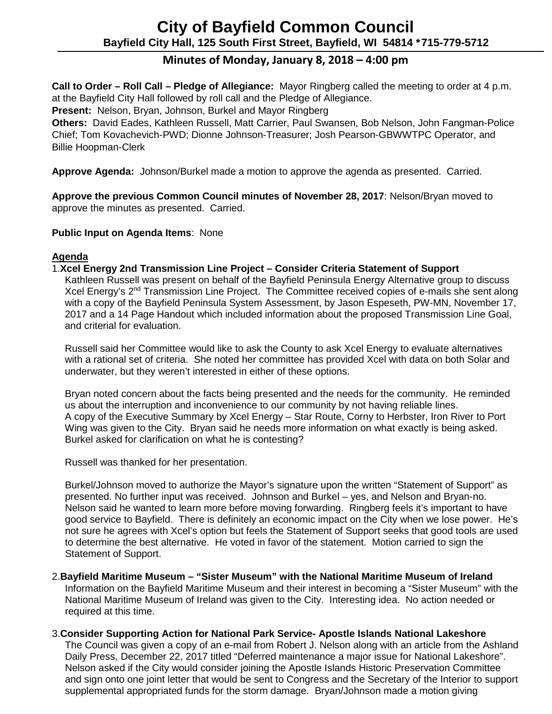# **City of Bayfield Common Council Bayfield City Hall, 125 South First Street, Bayfield, WI 54814 \*715-779-5712**

# **Minutes of Monday, January 8, 2018 – 4:00 pm**

**Call to Order – Roll Call – Pledge of Allegiance:** Mayor Ringberg called the meeting to order at 4 p.m. at the Bayfield City Hall followed by roll call and the Pledge of Allegiance.

**Present:** Nelson, Bryan, Johnson, Burkel and Mayor Ringberg

**Others:** David Eades, Kathleen Russell, Matt Carrier, Paul Swansen, Bob Nelson, John Fangman-Police Chief; Tom Kovachevich-PWD; Dionne Johnson-Treasurer; Josh Pearson-GBWWTPC Operator, and Billie Hoopman-Clerk

**Approve Agenda:** Johnson/Burkel made a motion to approve the agenda as presented. Carried.

**Approve the previous Common Council minutes of November 28, 2017**: Nelson/Bryan moved to approve the minutes as presented. Carried.

**Public Input on Agenda Items**: None

## **Agenda**

1.**Xcel Energy 2nd Transmission Line Project – Consider Criteria Statement of Support**

Kathleen Russell was present on behalf of the Bayfield Peninsula Energy Alternative group to discuss Xcel Energy's 2<sup>nd</sup> Transmission Line Project. The Committee received copies of e-mails she sent along with a copy of the Bayfield Peninsula System Assessment, by Jason Espeseth, PW-MN, November 17, 2017 and a 14 Page Handout which included information about the proposed Transmission Line Goal, and criterial for evaluation.

Russell said her Committee would like to ask the County to ask Xcel Energy to evaluate alternatives with a rational set of criteria. She noted her committee has provided Xcel with data on both Solar and underwater, but they weren't interested in either of these options.

Bryan noted concern about the facts being presented and the needs for the community. He reminded us about the interruption and inconvenience to our community by not having reliable lines. A copy of the Executive Summary by Xcel Energy – Star Route, Corny to Herbster, Iron River to Port Wing was given to the City. Bryan said he needs more information on what exactly is being asked. Burkel asked for clarification on what he is contesting?

Russell was thanked for her presentation.

Burkel/Johnson moved to authorize the Mayor's signature upon the written "Statement of Support" as presented. No further input was received. Johnson and Burkel – yes, and Nelson and Bryan-no. Nelson said he wanted to learn more before moving forwarding. Ringberg feels it's important to have good service to Bayfield. There is definitely an economic impact on the City when we lose power. He's not sure he agrees with Xcel's option but feels the Statement of Support seeks that good tools are used to determine the best alternative. He voted in favor of the statement. Motion carried to sign the Statement of Support.

2.**Bayfield Maritime Museum – "Sister Museum" with the National Maritime Museum of Ireland**

Information on the Bayfield Maritime Museum and their interest in becoming a "Sister Museum" with the National Maritime Museum of Ireland was given to the City. Interesting idea. No action needed or required at this time.

3.**Consider Supporting Action for National Park Service- Apostle Islands National Lakeshore** The Council was given a copy of an e-mail from Robert J. Nelson along with an article from the Ashland Daily Press, December 22, 2017 titled "Deferred maintenance a major issue for National Lakeshore". Nelson asked if the City would consider joining the Apostle Islands Historic Preservation Committee and sign onto one joint letter that would be sent to Congress and the Secretary of the Interior to support supplemental appropriated funds for the storm damage. Bryan/Johnson made a motion giving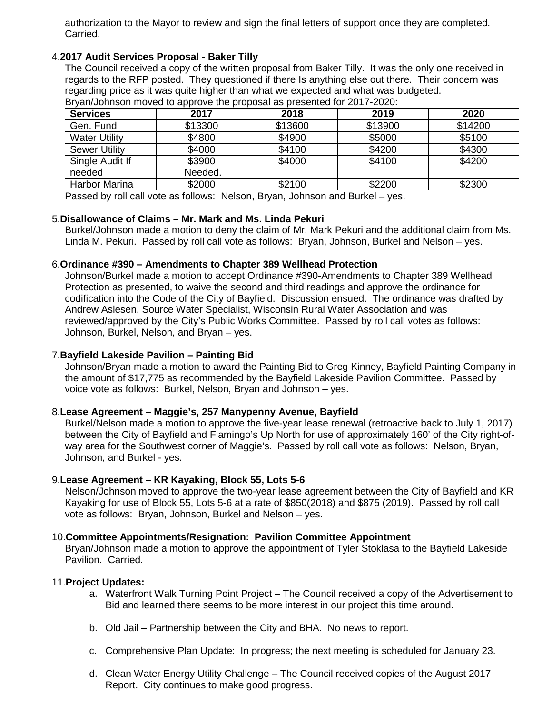authorization to the Mayor to review and sign the final letters of support once they are completed. Carried.

## 4.**2017 Audit Services Proposal - Baker Tilly**

The Council received a copy of the written proposal from Baker Tilly. It was the only one received in regards to the RFP posted. They questioned if there Is anything else out there. Their concern was regarding price as it was quite higher than what we expected and what was budgeted.

| <b>Services</b>      | 2017    | 2018    | 2019    | 2020    |
|----------------------|---------|---------|---------|---------|
| Gen. Fund            | \$13300 | \$13600 | \$13900 | \$14200 |
| <b>Water Utility</b> | \$4800  | \$4900  | \$5000  | \$5100  |
| <b>Sewer Utility</b> | \$4000  | \$4100  | \$4200  | \$4300  |
| Single Audit If      | \$3900  | \$4000  | \$4100  | \$4200  |
| needed               | Needed. |         |         |         |
| Harbor Marina        | \$2000  | \$2100  | \$2200  | \$2300  |

Bryan/Johnson moved to approve the proposal as presented for 2017-2020:

Passed by roll call vote as follows: Nelson, Bryan, Johnson and Burkel – yes.

#### 5.**Disallowance of Claims – Mr. Mark and Ms. Linda Pekuri**

Burkel/Johnson made a motion to deny the claim of Mr. Mark Pekuri and the additional claim from Ms. Linda M. Pekuri. Passed by roll call vote as follows: Bryan, Johnson, Burkel and Nelson – yes.

#### 6.**Ordinance #390 – Amendments to Chapter 389 Wellhead Protection**

Johnson/Burkel made a motion to accept Ordinance #390-Amendments to Chapter 389 Wellhead Protection as presented, to waive the second and third readings and approve the ordinance for codification into the Code of the City of Bayfield. Discussion ensued. The ordinance was drafted by Andrew Aslesen, Source Water Specialist, Wisconsin Rural Water Association and was reviewed/approved by the City's Public Works Committee. Passed by roll call votes as follows: Johnson, Burkel, Nelson, and Bryan – yes.

### 7.**Bayfield Lakeside Pavilion – Painting Bid**

Johnson/Bryan made a motion to award the Painting Bid to Greg Kinney, Bayfield Painting Company in the amount of \$17,775 as recommended by the Bayfield Lakeside Pavilion Committee. Passed by voice vote as follows: Burkel, Nelson, Bryan and Johnson – yes.

#### 8.**Lease Agreement – Maggie's, 257 Manypenny Avenue, Bayfield**

Burkel/Nelson made a motion to approve the five-year lease renewal (retroactive back to July 1, 2017) between the City of Bayfield and Flamingo's Up North for use of approximately 160' of the City right-ofway area for the Southwest corner of Maggie's. Passed by roll call vote as follows: Nelson, Bryan, Johnson, and Burkel - yes.

## 9.**Lease Agreement – KR Kayaking, Block 55, Lots 5-6**

Nelson/Johnson moved to approve the two-year lease agreement between the City of Bayfield and KR Kayaking for use of Block 55, Lots 5-6 at a rate of \$850(2018) and \$875 (2019). Passed by roll call vote as follows: Bryan, Johnson, Burkel and Nelson – yes.

#### 10.**Committee Appointments/Resignation: Pavilion Committee Appointment**

Bryan/Johnson made a motion to approve the appointment of Tyler Stoklasa to the Bayfield Lakeside Pavilion. Carried.

#### 11.**Project Updates:**

- a. Waterfront Walk Turning Point Project The Council received a copy of the Advertisement to Bid and learned there seems to be more interest in our project this time around.
- b. Old Jail Partnership between the City and BHA. No news to report.
- c. Comprehensive Plan Update: In progress; the next meeting is scheduled for January 23.
- d. Clean Water Energy Utility Challenge The Council received copies of the August 2017 Report. City continues to make good progress.